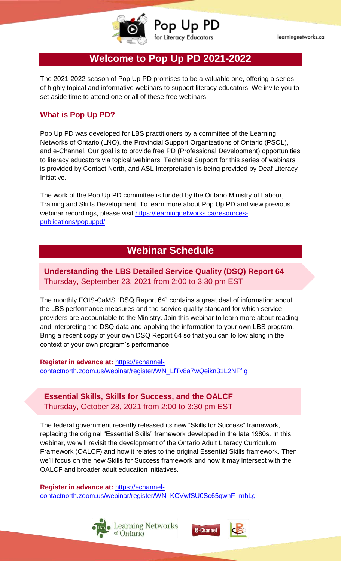

Pop Up PD for Literacy Educators

learningnetworks.ca

# **Welcome to Pop Up PD 2021-2022**

The 2021-2022 season of Pop Up PD promises to be a valuable one, offering a series of highly topical and informative webinars to support literacy educators. We invite you to set aside time to attend one or all of these free webinars!

## **What is Pop Up PD?**

Pop Up PD was developed for LBS practitioners by a committee of the Learning Networks of Ontario (LNO), the Provincial Support Organizations of Ontario (PSOL), and e-Channel. Our goal is to provide free PD (Professional Development) opportunities to literacy educators via topical webinars. Technical Support for this series of webinars is provided by Contact North, and ASL Interpretation is being provided by Deaf Literacy Initiative.

The work of the Pop Up PD committee is funded by the Ontario Ministry of Labour, Training and Skills Development. To learn more about Pop Up PD and view previous webinar recordings, please visit [https://learningnetworks.ca/resources](https://learningnetworks.ca/resources-publications/popuppd/)[publications/popuppd/](https://learningnetworks.ca/resources-publications/popuppd/)

# **Webinar Schedule**

### **Understanding the LBS Detailed Service Quality (DSQ) Report 64** Thursday, September 23, 2021 from 2:00 to 3:30 pm EST

The monthly EOIS-CaMS "DSQ Report 64" contains a great deal of information about the LBS performance measures and the service quality standard for which service providers are accountable to the Ministry. Join this webinar to learn more about reading and interpreting the DSQ data and applying the information to your own LBS program. Bring a recent copy of your own DSQ Report 64 so that you can follow along in the context of your own program's performance.

**Register in advance at:** [https://echannel](https://echannel-contactnorth.zoom.us/webinar/register/WN_LfTv8a7wQeikn31L2NFfIg)[contactnorth.zoom.us/webinar/register/WN\\_LfTv8a7wQeikn31L2NFfIg](https://echannel-contactnorth.zoom.us/webinar/register/WN_LfTv8a7wQeikn31L2NFfIg)

## **Essential Skills, Skills for Success, and the OALCF** Thursday, October 28, 2021 from 2:00 to 3:30 pm EST

The federal government recently released its new "Skills for Success" framework, replacing the original "Essential Skills" framework developed in the late 1980s. In this webinar, we will revisit the development of the Ontario Adult Literacy Curriculum Framework (OALCF) and how it relates to the original Essential Skills framework. Then we'll focus on the new Skills for Success framework and how it may intersect with the OALCF and broader adult education initiatives.

**Register in advance at:** [https://echannel-](https://echannel-contactnorth.zoom.us/webinar/register/WN_KCVwfSU0Sc65qwnF-jmhLg)

[contactnorth.zoom.us/webinar/register/WN\\_KCVwfSU0Sc65qwnF-jmhLg](https://echannel-contactnorth.zoom.us/webinar/register/WN_KCVwfSU0Sc65qwnF-jmhLg)



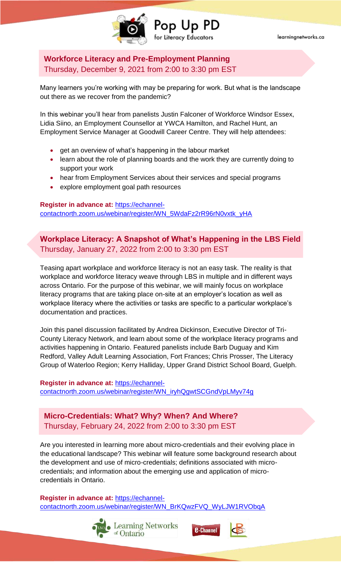

learningnetworks.ca

**Workforce Literacy and Pre-Employment Planning**  Thursday, December 9, 2021 from 2:00 to 3:30 pm EST

Many learners you're working with may be preparing for work. But what is the landscape out there as we recover from the pandemic?

Pop Up PD

or Literacy Educators

In this webinar you'll hear from panelists Justin Falconer of Workforce Windsor Essex, Lidia Siino, an Employment Counsellor at YWCA Hamilton, and Rachel Hunt, an Employment Service Manager at Goodwill Career Centre. They will help attendees:

- get an overview of what's happening in the labour market
- learn about the role of planning boards and the work they are currently doing to support your work
- hear from Employment Services about their services and special programs
- explore employment goal path resources

**Register in advance at:** [https://echannel-](https://echannel-contactnorth.zoom.us/webinar/register/WN_5WdaFz2rR96rN0vxtk_yHA)

[contactnorth.zoom.us/webinar/register/WN\\_5WdaFz2rR96rN0vxtk\\_yHA](https://echannel-contactnorth.zoom.us/webinar/register/WN_5WdaFz2rR96rN0vxtk_yHA)

**Workplace Literacy: A Snapshot of What's Happening in the LBS Field** Thursday, January 27, 2022 from 2:00 to 3:30 pm EST

Teasing apart workplace and workforce literacy is not an easy task. The reality is that workplace and workforce literacy weave through LBS in multiple and in different ways across Ontario. For the purpose of this webinar, we will mainly focus on workplace literacy programs that are taking place on-site at an employer's location as well as workplace literacy where the activities or tasks are specific to a particular workplace's documentation and practices.

Join this panel discussion facilitated by Andrea Dickinson, Executive Director of Tri-County Literacy Network, and learn about some of the workplace literacy programs and activities happening in Ontario. Featured panelists include Barb Duguay and Kim Redford, Valley Adult Learning Association, Fort Frances; Chris Prosser, The Literacy Group of Waterloo Region; Kerry Halliday, Upper Grand District School Board, Guelph.

**Register in advance at:** [https://echannel](https://echannel-contactnorth.zoom.us/webinar/register/WN_iryhQgwtSCGndVpLMyv74g)[contactnorth.zoom.us/webinar/register/WN\\_iryhQgwtSCGndVpLMyv74g](https://echannel-contactnorth.zoom.us/webinar/register/WN_iryhQgwtSCGndVpLMyv74g)

**Micro-Credentials: What? Why? When? And Where?** Thursday, February 24, 2022 from 2:00 to 3:30 pm EST

Are you interested in learning more about micro-credentials and their evolving place in the educational landscape? This webinar will feature some background research about the development and use of micro-credentials; definitions associated with microcredentials; and information about the emerging use and application of microcredentials in Ontario.

**Register in advance at:** [https://echannel](https://echannel-contactnorth.zoom.us/webinar/register/WN_BrKQwzFVQ_WyLJW1RVObqA)[contactnorth.zoom.us/webinar/register/WN\\_BrKQwzFVQ\\_WyLJW1RVObqA](https://echannel-contactnorth.zoom.us/webinar/register/WN_BrKQwzFVQ_WyLJW1RVObqA)





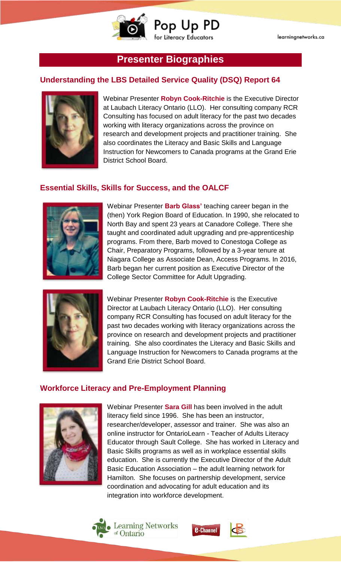

## **Presenter Biographies**

#### **Understanding the LBS Detailed Service Quality (DSQ) Report 64**



Webinar Presenter **Robyn Cook-Ritchie** is the Executive Director at Laubach Literacy Ontario (LLO). Her consulting company RCR Consulting has focused on adult literacy for the past two decades working with literacy organizations across the province on research and development projects and practitioner training. She also coordinates the Literacy and Basic Skills and Language Instruction for Newcomers to Canada programs at the Grand Erie District School Board.

#### **Essential Skills, Skills for Success, and the OALCF**



Webinar Presenter **Barb Glass'** teaching career began in the (then) York Region Board of Education. In 1990, she relocated to North Bay and spent 23 years at Canadore College. There she taught and coordinated adult upgrading and pre-apprenticeship programs. From there, Barb moved to Conestoga College as Chair, Preparatory Programs, followed by a 3-year tenure at Niagara College as Associate Dean, Access Programs. In 2016, Barb began her current position as Executive Director of the College Sector Committee for Adult Upgrading.



Webinar Presenter **Robyn Cook-Ritchie** is the Executive Director at Laubach Literacy Ontario (LLO). Her consulting company RCR Consulting has focused on adult literacy for the past two decades working with literacy organizations across the province on research and development projects and practitioner training. She also coordinates the Literacy and Basic Skills and Language Instruction for Newcomers to Canada programs at the Grand Erie District School Board.

#### **Workforce Literacy and Pre-Employment Planning**



Webinar Presenter **Sara Gill** has been involved in the adult literacy field since 1996. She has been an instructor, researcher/developer, assessor and trainer. She was also an online instructor for OntarioLearn - Teacher of Adults Literacy Educator through Sault College. She has worked in Literacy and Basic Skills programs as well as in workplace essential skills education. She is currently the Executive Director of the Adult Basic Education Association – the adult learning network for Hamilton. She focuses on partnership development, service coordination and advocating for adult education and its integration into workforce development.





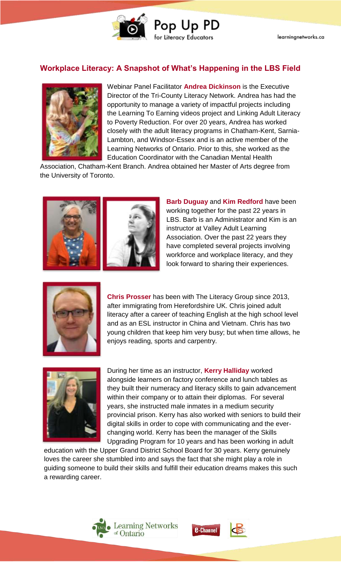

#### **Workplace Literacy: A Snapshot of What's Happening in the LBS Field**



Webinar Panel Facilitator **Andrea Dickinson** is the Executive Director of the Tri-County Literacy Network. Andrea has had the opportunity to manage a variety of impactful projects including the Learning To Earning videos project and Linking Adult Literacy to Poverty Reduction. For over 20 years, Andrea has worked closely with the adult literacy programs in Chatham-Kent, Sarnia-Lambton, and Windsor-Essex and is an active member of the Learning Networks of Ontario. Prior to this, she worked as the Education Coordinator with the Canadian Mental Health

Association, Chatham-Kent Branch. Andrea obtained her Master of Arts degree from the University of Toronto.



**Barb Duguay** and **Kim Redford** have been working together for the past 22 years in LBS. Barb is an Administrator and Kim is an instructor at Valley Adult Learning Association. Over the past 22 years they have completed several projects involving workforce and workplace literacy, and they look forward to sharing their experiences.



**Chris Prosser** has been with The Literacy Group since 2013, after immigrating from Herefordshire UK. Chris joined adult literacy after a career of teaching English at the high school level and as an ESL instructor in China and Vietnam. Chris has two young children that keep him very busy; but when time allows, he enjoys reading, sports and carpentry.



During her time as an instructor, **Kerry Halliday** worked alongside learners on factory conference and lunch tables as they built their numeracy and literacy skills to gain advancement within their company or to attain their diplomas. For several years, she instructed male inmates in a medium security provincial prison. Kerry has also worked with seniors to build their digital skills in order to cope with communicating and the everchanging world. Kerry has been the manager of the Skills Upgrading Program for 10 years and has been working in adult

education with the Upper Grand District School Board for 30 years. Kerry genuinely loves the career she stumbled into and says the fact that she might play a role in guiding someone to build their skills and fulfill their education dreams makes this such a rewarding career.